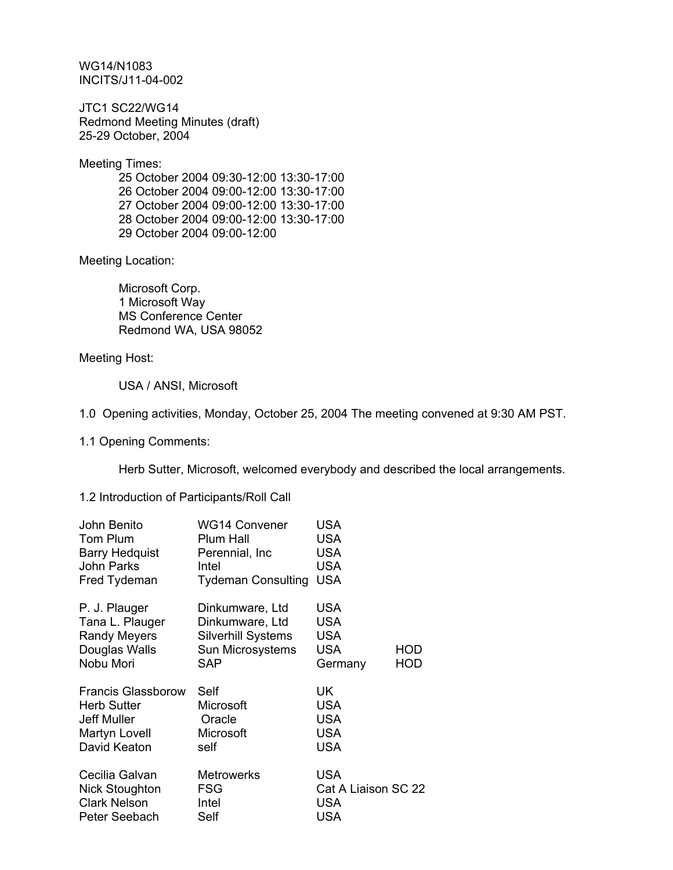WG14/N1083 INCITS/J11-04-002

JTC1 SC22/WG14 Redmond Meeting Minutes (draft) 25-29 October, 2004

Meeting Times:

 25 October 2004 09:30-12:00 13:30-17:00 26 October 2004 09:00-12:00 13:30-17:00 27 October 2004 09:00-12:00 13:30-17:00 28 October 2004 09:00-12:00 13:30-17:00 29 October 2004 09:00-12:00

Meeting Location:

 Microsoft Corp. 1 Microsoft Way MS Conference Center Redmond WA, USA 98052

Meeting Host:

USA / ANSI, Microsoft

1.0 Opening activities, Monday, October 25, 2004 The meeting convened at 9:30 AM PST.

1.1 Opening Comments:

Herb Sutter, Microsoft, welcomed everybody and described the local arrangements.

### 1.2 Introduction of Participants/Roll Call

| John Benito<br>Tom Plum | <b>WG14 Convener</b><br>Plum Hall | <b>USA</b><br><b>USA</b> |            |
|-------------------------|-----------------------------------|--------------------------|------------|
|                         |                                   |                          |            |
| <b>Barry Hedquist</b>   | Perennial, Inc.                   | <b>USA</b>               |            |
| John Parks              | Intel                             | <b>USA</b>               |            |
| Fred Tydeman            | <b>Tydeman Consulting</b>         | <b>USA</b>               |            |
| P. J. Plauger           | Dinkumware, Ltd                   | <b>USA</b>               |            |
| Tana L. Plauger         | Dinkumware, Ltd                   | <b>USA</b>               |            |
| <b>Randy Meyers</b>     | <b>Silverhill Systems</b>         | USA                      |            |
| Douglas Walls           | Sun Microsystems                  | USA                      | HOD        |
| Nobu Mori               | SAP                               | Germany                  | <b>HOD</b> |
| Francis Glassborow      | Self                              | UK                       |            |
| <b>Herb Sutter</b>      | Microsoft                         | <b>USA</b>               |            |
| <b>Jeff Muller</b>      | Oracle                            | <b>USA</b>               |            |
| Martyn Lovell           | Microsoft                         | <b>USA</b>               |            |
| David Keaton            | self                              | <b>USA</b>               |            |
| Cecilia Galvan          | <b>Metrowerks</b>                 | <b>USA</b>               |            |
| Nick Stoughton          | FSG                               | Cat A Liaison SC 22      |            |
| <b>Clark Nelson</b>     | Intel                             | <b>USA</b>               |            |
| Peter Seebach           | Self                              | <b>USA</b>               |            |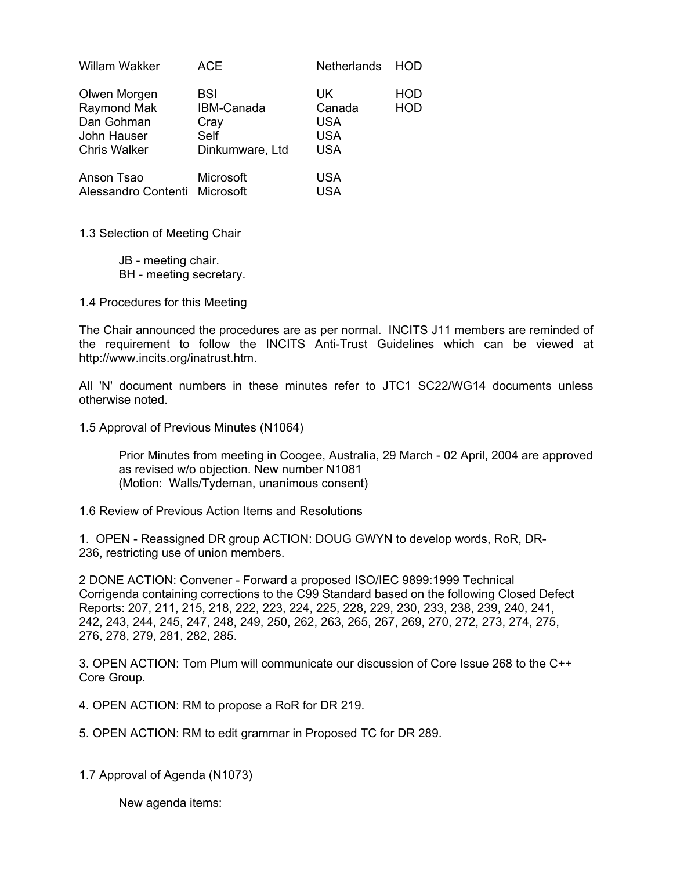| Willam Wakker                                                                   | ACE                                                  | <b>Netherlands</b>                                      | HOD.                     |
|---------------------------------------------------------------------------------|------------------------------------------------------|---------------------------------------------------------|--------------------------|
| Olwen Morgen<br>Raymond Mak<br>Dan Gohman<br>John Hauser<br><b>Chris Walker</b> | BSI<br>IBM-Canada<br>Cray<br>Self<br>Dinkumware, Ltd | UK.<br>Canada<br><b>USA</b><br><b>USA</b><br><b>USA</b> | <b>HOD</b><br><b>HOD</b> |
| Anson Tsao<br>Alessandro Contenti Microsoft                                     | Microsoft                                            | USA<br>USA                                              |                          |

1.3 Selection of Meeting Chair

 JB - meeting chair. BH - meeting secretary.

1.4 Procedures for this Meeting

The Chair announced the procedures are as per normal. INCITS J11 members are reminded of the requirement to follow the INCITS Anti-Trust Guidelines which can be viewed at http://www.incits.org/inatrust.htm.

All 'N' document numbers in these minutes refer to JTC1 SC22/WG14 documents unless otherwise noted.

1.5 Approval of Previous Minutes (N1064)

Prior Minutes from meeting in Coogee, Australia, 29 March - 02 April, 2004 are approved as revised w/o objection. New number N1081 (Motion: Walls/Tydeman, unanimous consent)

1.6 Review of Previous Action Items and Resolutions

1. OPEN - Reassigned DR group ACTION: DOUG GWYN to develop words, RoR, DR-236, restricting use of union members.

2 DONE ACTION: Convener - Forward a proposed ISO/IEC 9899:1999 Technical Corrigenda containing corrections to the C99 Standard based on the following Closed Defect Reports: 207, 211, 215, 218, 222, 223, 224, 225, 228, 229, 230, 233, 238, 239, 240, 241, 242, 243, 244, 245, 247, 248, 249, 250, 262, 263, 265, 267, 269, 270, 272, 273, 274, 275, 276, 278, 279, 281, 282, 285.

3. OPEN ACTION: Tom Plum will communicate our discussion of Core Issue 268 to the C++ Core Group.

4. OPEN ACTION: RM to propose a RoR for DR 219.

5. OPEN ACTION: RM to edit grammar in Proposed TC for DR 289.

1.7 Approval of Agenda (N1073)

New agenda items: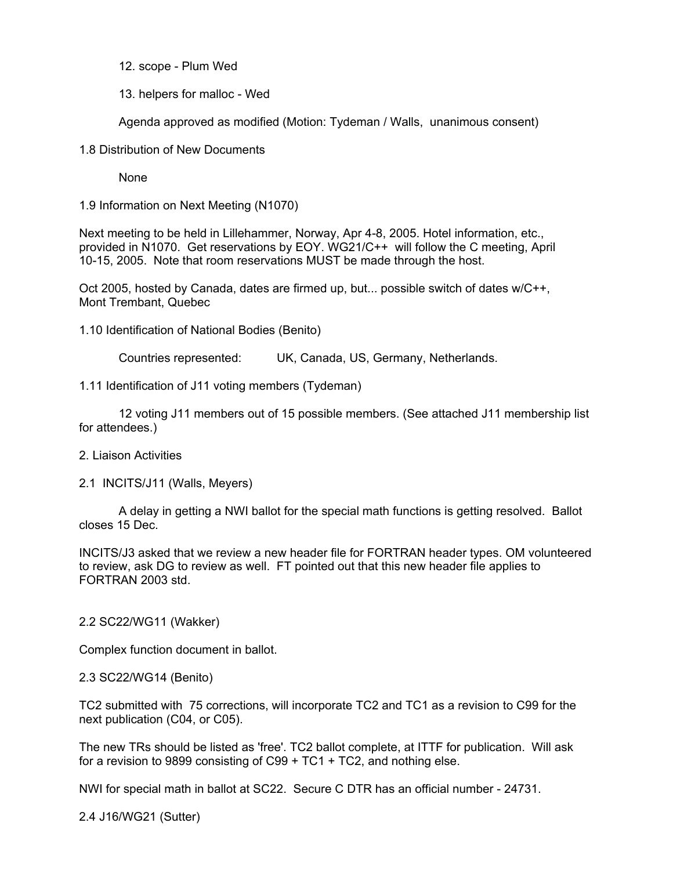12. scope - Plum Wed

13. helpers for malloc - Wed

Agenda approved as modified (Motion: Tydeman / Walls, unanimous consent)

1.8 Distribution of New Documents

None

1.9 Information on Next Meeting (N1070)

Next meeting to be held in Lillehammer, Norway, Apr 4-8, 2005. Hotel information, etc., provided in N1070. Get reservations by EOY. WG21/C++ will follow the C meeting, April 10-15, 2005. Note that room reservations MUST be made through the host.

Oct 2005, hosted by Canada, dates are firmed up, but... possible switch of dates w/C++, Mont Trembant, Quebec

1.10 Identification of National Bodies (Benito)

Countries represented: UK, Canada, US, Germany, Netherlands.

1.11 Identification of J11 voting members (Tydeman)

 12 voting J11 members out of 15 possible members. (See attached J11 membership list for attendees.)

2. Liaison Activities

2.1 INCITS/J11 (Walls, Meyers)

 A delay in getting a NWI ballot for the special math functions is getting resolved. Ballot closes 15 Dec.

INCITS/J3 asked that we review a new header file for FORTRAN header types. OM volunteered to review, ask DG to review as well. FT pointed out that this new header file applies to FORTRAN 2003 std.

2.2 SC22/WG11 (Wakker)

Complex function document in ballot.

2.3 SC22/WG14 (Benito)

TC2 submitted with 75 corrections, will incorporate TC2 and TC1 as a revision to C99 for the next publication (C04, or C05).

The new TRs should be listed as 'free'. TC2 ballot complete, at ITTF for publication. Will ask for a revision to 9899 consisting of C99 + TC1 + TC2, and nothing else.

NWI for special math in ballot at SC22. Secure C DTR has an official number - 24731.

2.4 J16/WG21 (Sutter)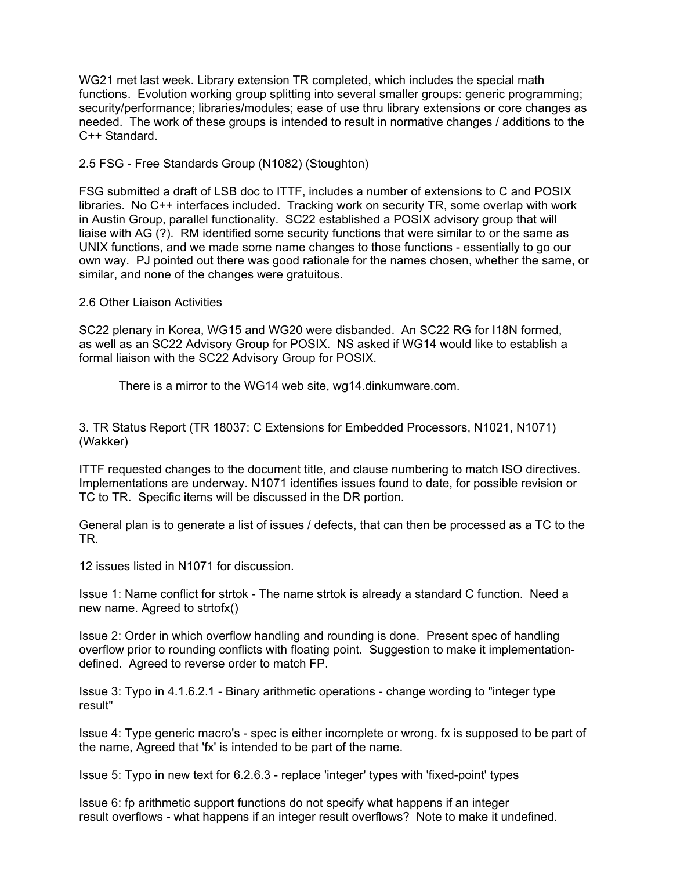WG21 met last week. Library extension TR completed, which includes the special math functions. Evolution working group splitting into several smaller groups: generic programming; security/performance; libraries/modules; ease of use thru library extensions or core changes as needed. The work of these groups is intended to result in normative changes / additions to the C++ Standard.

2.5 FSG - Free Standards Group (N1082) (Stoughton)

FSG submitted a draft of LSB doc to ITTF, includes a number of extensions to C and POSIX libraries. No C++ interfaces included. Tracking work on security TR, some overlap with work in Austin Group, parallel functionality. SC22 established a POSIX advisory group that will liaise with AG (?). RM identified some security functions that were similar to or the same as UNIX functions, and we made some name changes to those functions - essentially to go our own way. PJ pointed out there was good rationale for the names chosen, whether the same, or similar, and none of the changes were gratuitous.

2.6 Other Liaison Activities

SC22 plenary in Korea, WG15 and WG20 were disbanded. An SC22 RG for I18N formed, as well as an SC22 Advisory Group for POSIX. NS asked if WG14 would like to establish a formal liaison with the SC22 Advisory Group for POSIX.

There is a mirror to the WG14 web site, wg14.dinkumware.com.

3. TR Status Report (TR 18037: C Extensions for Embedded Processors, N1021, N1071) (Wakker)

ITTF requested changes to the document title, and clause numbering to match ISO directives. Implementations are underway. N1071 identifies issues found to date, for possible revision or TC to TR. Specific items will be discussed in the DR portion.

General plan is to generate a list of issues / defects, that can then be processed as a TC to the TR.

12 issues listed in N1071 for discussion.

Issue 1: Name conflict for strtok - The name strtok is already a standard C function. Need a new name. Agreed to strtofx()

Issue 2: Order in which overflow handling and rounding is done. Present spec of handling overflow prior to rounding conflicts with floating point. Suggestion to make it implementationdefined. Agreed to reverse order to match FP.

Issue 3: Typo in 4.1.6.2.1 - Binary arithmetic operations - change wording to "integer type result"

Issue 4: Type generic macro's - spec is either incomplete or wrong. fx is supposed to be part of the name, Agreed that 'fx' is intended to be part of the name.

Issue 5: Typo in new text for 6.2.6.3 - replace 'integer' types with 'fixed-point' types

Issue 6: fp arithmetic support functions do not specify what happens if an integer result overflows - what happens if an integer result overflows? Note to make it undefined.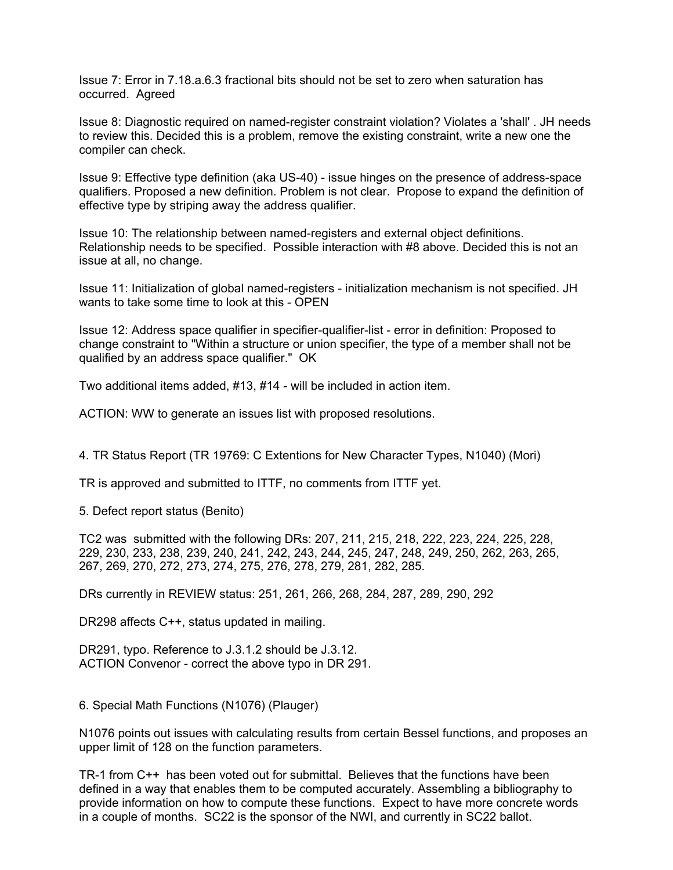Issue 7: Error in 7.18.a.6.3 fractional bits should not be set to zero when saturation has occurred. Agreed

Issue 8: Diagnostic required on named-register constraint violation? Violates a 'shall' . JH needs to review this. Decided this is a problem, remove the existing constraint, write a new one the compiler can check.

Issue 9: Effective type definition (aka US-40) - issue hinges on the presence of address-space qualifiers. Proposed a new definition. Problem is not clear. Propose to expand the definition of effective type by striping away the address qualifier.

Issue 10: The relationship between named-registers and external object definitions. Relationship needs to be specified. Possible interaction with #8 above. Decided this is not an issue at all, no change.

Issue 11: Initialization of global named-registers - initialization mechanism is not specified. JH wants to take some time to look at this - OPEN

Issue 12: Address space qualifier in specifier-qualifier-list - error in definition: Proposed to change constraint to "Within a structure or union specifier, the type of a member shall not be qualified by an address space qualifier." OK

Two additional items added, #13, #14 - will be included in action item.

ACTION: WW to generate an issues list with proposed resolutions.

4. TR Status Report (TR 19769: C Extentions for New Character Types, N1040) (Mori)

TR is approved and submitted to ITTF, no comments from ITTF yet.

5. Defect report status (Benito)

TC2 was submitted with the following DRs: 207, 211, 215, 218, 222, 223, 224, 225, 228, 229, 230, 233, 238, 239, 240, 241, 242, 243, 244, 245, 247, 248, 249, 250, 262, 263, 265, 267, 269, 270, 272, 273, 274, 275, 276, 278, 279, 281, 282, 285.

DRs currently in REVIEW status: 251, 261, 266, 268, 284, 287, 289, 290, 292

DR298 affects C++, status updated in mailing.

DR291, typo. Reference to J.3.1.2 should be J.3.12. ACTION Convenor - correct the above typo in DR 291.

6. Special Math Functions (N1076) (Plauger)

N1076 points out issues with calculating results from certain Bessel functions, and proposes an upper limit of 128 on the function parameters.

TR-1 from C++ has been voted out for submittal. Believes that the functions have been defined in a way that enables them to be computed accurately. Assembling a bibliography to provide information on how to compute these functions. Expect to have more concrete words in a couple of months. SC22 is the sponsor of the NWI, and currently in SC22 ballot.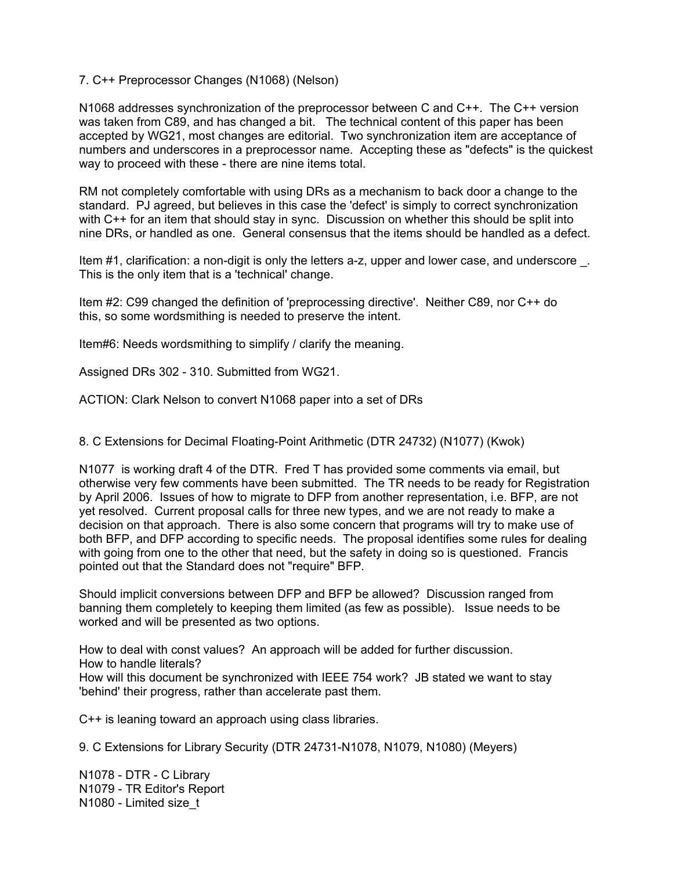### 7. C++ Preprocessor Changes (N1068) (Nelson)

N1068 addresses synchronization of the preprocessor between C and C++. The C++ version was taken from C89, and has changed a bit. The technical content of this paper has been accepted by WG21, most changes are editorial. Two synchronization item are acceptance of numbers and underscores in a preprocessor name. Accepting these as "defects" is the quickest way to proceed with these - there are nine items total.

RM not completely comfortable with using DRs as a mechanism to back door a change to the standard. PJ agreed, but believes in this case the 'defect' is simply to correct synchronization with C++ for an item that should stay in sync. Discussion on whether this should be split into nine DRs, or handled as one. General consensus that the items should be handled as a defect.

Item #1, clarification: a non-digit is only the letters a-z, upper and lower case, and underscore \_. This is the only item that is a 'technical' change.

Item #2: C99 changed the definition of 'preprocessing directive'. Neither C89, nor C++ do this, so some wordsmithing is needed to preserve the intent.

Item#6: Needs wordsmithing to simplify / clarify the meaning.

Assigned DRs 302 - 310. Submitted from WG21.

ACTION: Clark Nelson to convert N1068 paper into a set of DRs

8. C Extensions for Decimal Floating-Point Arithmetic (DTR 24732) (N1077) (Kwok)

N1077 is working draft 4 of the DTR. Fred T has provided some comments via email, but otherwise very few comments have been submitted. The TR needs to be ready for Registration by April 2006. Issues of how to migrate to DFP from another representation, i.e. BFP, are not yet resolved. Current proposal calls for three new types, and we are not ready to make a decision on that approach. There is also some concern that programs will try to make use of both BFP, and DFP according to specific needs. The proposal identifies some rules for dealing with going from one to the other that need, but the safety in doing so is questioned. Francis pointed out that the Standard does not "require" BFP.

Should implicit conversions between DFP and BFP be allowed? Discussion ranged from banning them completely to keeping them limited (as few as possible). Issue needs to be worked and will be presented as two options.

How to deal with const values? An approach will be added for further discussion. How to handle literals? How will this document be synchronized with IEEE 754 work? JB stated we want to stay 'behind' their progress, rather than accelerate past them.

C++ is leaning toward an approach using class libraries.

9. C Extensions for Library Security (DTR 24731-N1078, N1079, N1080) (Meyers)

N1078 - DTR - C Library N1079 - TR Editor's Report N1080 - Limited size\_t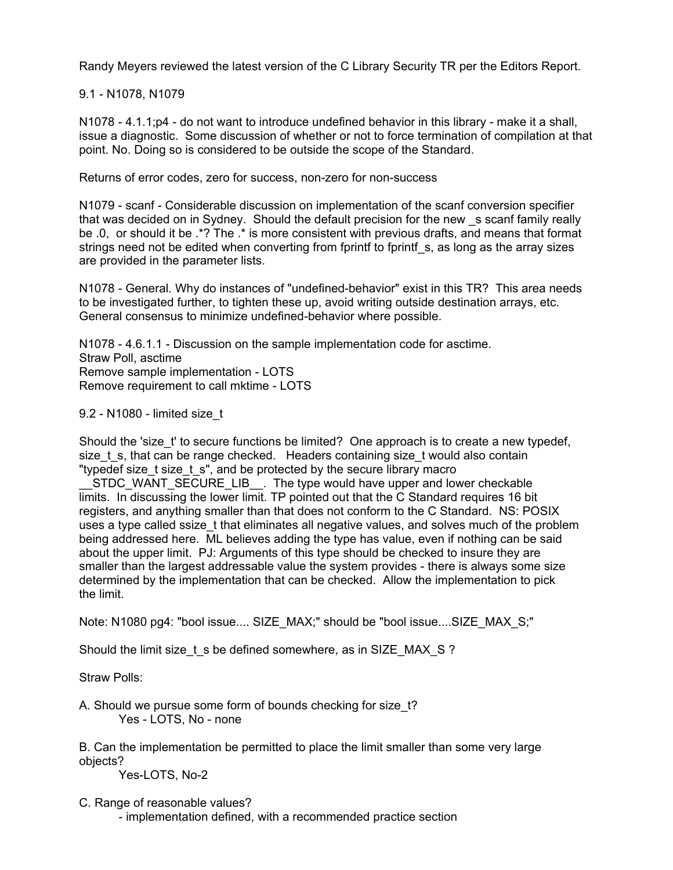Randy Meyers reviewed the latest version of the C Library Security TR per the Editors Report.

9.1 - N1078, N1079

N1078 - 4.1.1;p4 - do not want to introduce undefined behavior in this library - make it a shall, issue a diagnostic. Some discussion of whether or not to force termination of compilation at that point. No. Doing so is considered to be outside the scope of the Standard.

Returns of error codes, zero for success, non-zero for non-success

N1079 - scanf - Considerable discussion on implementation of the scanf conversion specifier that was decided on in Sydney. Should the default precision for the new \_s scanf family really be .0, or should it be .\*? The .\* is more consistent with previous drafts, and means that format strings need not be edited when converting from fprintf to fprintf s, as long as the array sizes are provided in the parameter lists.

N1078 - General. Why do instances of "undefined-behavior" exist in this TR? This area needs to be investigated further, to tighten these up, avoid writing outside destination arrays, etc. General consensus to minimize undefined-behavior where possible.

N1078 - 4.6.1.1 - Discussion on the sample implementation code for asctime. Straw Poll, asctime Remove sample implementation - LOTS Remove requirement to call mktime - LOTS

9.2 - N1080 - limited size\_t

Should the 'size\_t' to secure functions be limited? One approach is to create a new typedef, size t s, that can be range checked. Headers containing size t would also contain "typedef size t size t s", and be protected by the secure library macro

STDC\_WANT\_SECURE\_LIB\_\_. The type would have upper and lower checkable limits. In discussing the lower limit. TP pointed out that the C Standard requires 16 bit registers, and anything smaller than that does not conform to the C Standard. NS: POSIX uses a type called ssize t that eliminates all negative values, and solves much of the problem being addressed here. ML believes adding the type has value, even if nothing can be said about the upper limit. PJ: Arguments of this type should be checked to insure they are smaller than the largest addressable value the system provides - there is always some size determined by the implementation that can be checked. Allow the implementation to pick the limit.

Note: N1080 pg4: "bool issue.... SIZE\_MAX;" should be "bool issue....SIZE\_MAX\_S;"

Should the limit size\_t\_s be defined somewhere, as in SIZE\_MAX\_S ?

Straw Polls:

A. Should we pursue some form of bounds checking for size t? Yes - LOTS, No - none

B. Can the implementation be permitted to place the limit smaller than some very large objects?

Yes-LOTS, No-2

C. Range of reasonable values?

- implementation defined, with a recommended practice section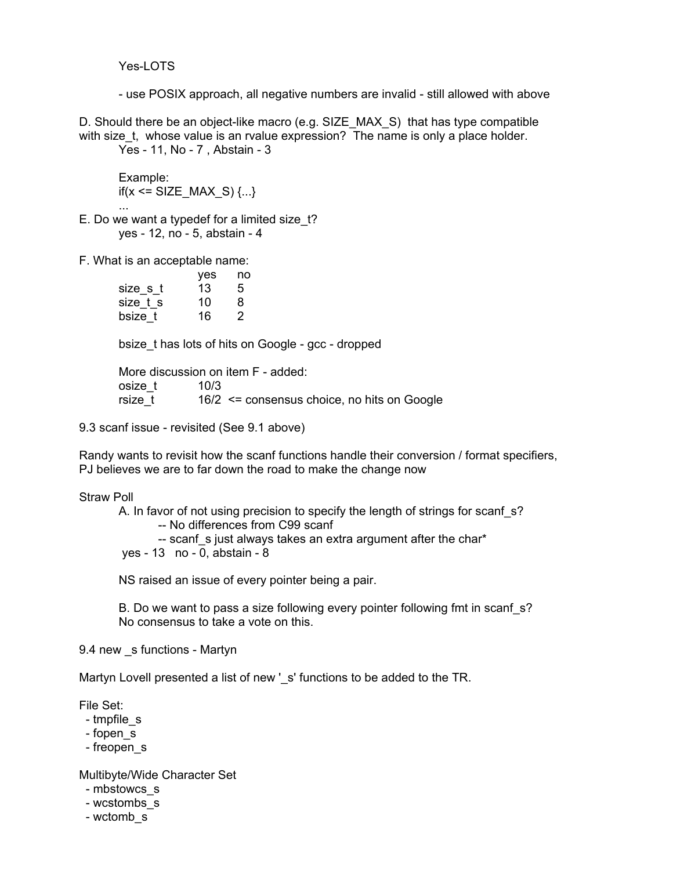Yes-LOTS

- use POSIX approach, all negative numbers are invalid - still allowed with above

D. Should there be an object-like macro (e.g. SIZE\_MAX\_S) that has type compatible with size t, whose value is an rvalue expression? The name is only a place holder. Yes - 11, No - 7 , Abstain - 3

Example: if(x <= SIZE\_MAX\_S)  $\{...\}$ 

 ... E. Do we want a typedef for a limited size t? yes - 12, no - 5, abstain - 4

F. What is an acceptable name:

|          | yes | no |
|----------|-----|----|
| size_s_t | 13  | 5  |
| size t s | 10  | 8  |
| bsize t  | 16  | 2  |

bsize\_t has lots of hits on Google - gcc - dropped

More discussion on item F - added: osize\_t 10/3<br>rsize\_t 16/2  $16/2$   $\leq$  consensus choice, no hits on Google

9.3 scanf issue - revisited (See 9.1 above)

Randy wants to revisit how the scanf functions handle their conversion / format specifiers, PJ believes we are to far down the road to make the change now

### Straw Poll

A. In favor of not using precision to specify the length of strings for scanf s? -- No differences from C99 scanf -- scanf s just always takes an extra argument after the char\*

yes - 13 no - 0, abstain - 8

NS raised an issue of every pointer being a pair.

B. Do we want to pass a size following every pointer following fmt in scanf s? No consensus to take a vote on this.

9.4 new \_s functions - Martyn

Martyn Lovell presented a list of new 's' functions to be added to the TR.

File Set:

- tmpfile\_s
- fopen\_s
- freopen\_s

Multibyte/Wide Character Set

- mbstowcs\_s
- wcstombs\_s
- wctomb\_s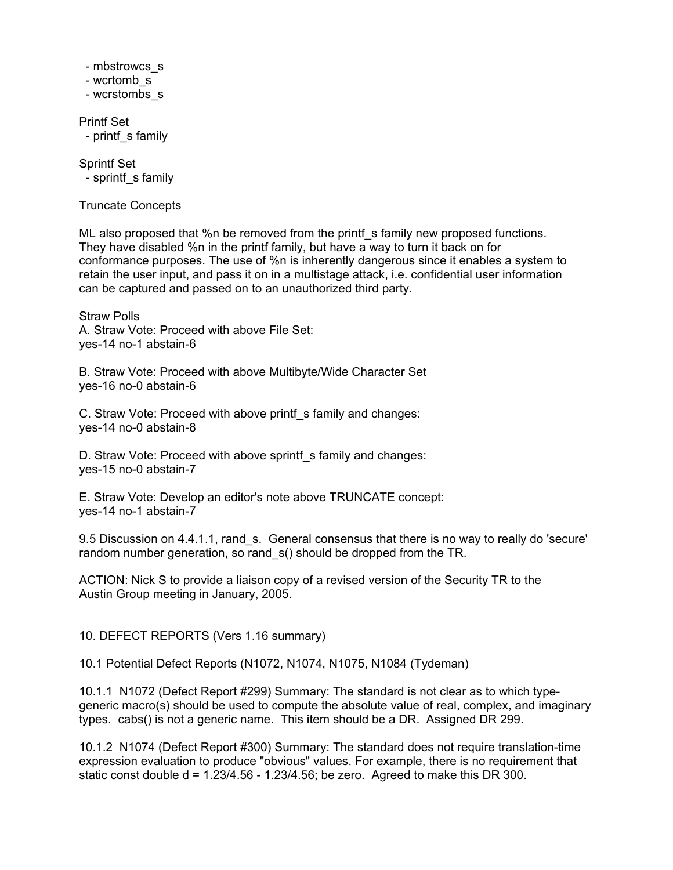- mbstrowcs\_s
- wcrtomb\_s
- wcrstombs\_s

Printf Set - printf\_s family

Sprintf Set - sprintf\_s family

Truncate Concepts

ML also proposed that %n be removed from the print f s family new proposed functions. They have disabled %n in the printf family, but have a way to turn it back on for conformance purposes. The use of %n is inherently dangerous since it enables a system to retain the user input, and pass it on in a multistage attack, i.e. confidential user information can be captured and passed on to an unauthorized third party.

Straw Polls A. Straw Vote: Proceed with above File Set: yes-14 no-1 abstain-6

B. Straw Vote: Proceed with above Multibyte/Wide Character Set yes-16 no-0 abstain-6

C. Straw Vote: Proceed with above printf s family and changes: yes-14 no-0 abstain-8

D. Straw Vote: Proceed with above sprintf s family and changes: yes-15 no-0 abstain-7

E. Straw Vote: Develop an editor's note above TRUNCATE concept: yes-14 no-1 abstain-7

9.5 Discussion on 4.4.1.1, rand s. General consensus that there is no way to really do 'secure' random number generation, so rand  $s($ ) should be dropped from the TR.

ACTION: Nick S to provide a liaison copy of a revised version of the Security TR to the Austin Group meeting in January, 2005.

10. DEFECT REPORTS (Vers 1.16 summary)

10.1 Potential Defect Reports (N1072, N1074, N1075, N1084 (Tydeman)

10.1.1 N1072 (Defect Report #299) Summary: The standard is not clear as to which typegeneric macro(s) should be used to compute the absolute value of real, complex, and imaginary types. cabs() is not a generic name. This item should be a DR. Assigned DR 299.

10.1.2 N1074 (Defect Report #300) Summary: The standard does not require translation-time expression evaluation to produce "obvious" values. For example, there is no requirement that static const double  $d = 1.23/4.56 - 1.23/4.56$ ; be zero. Agreed to make this DR 300.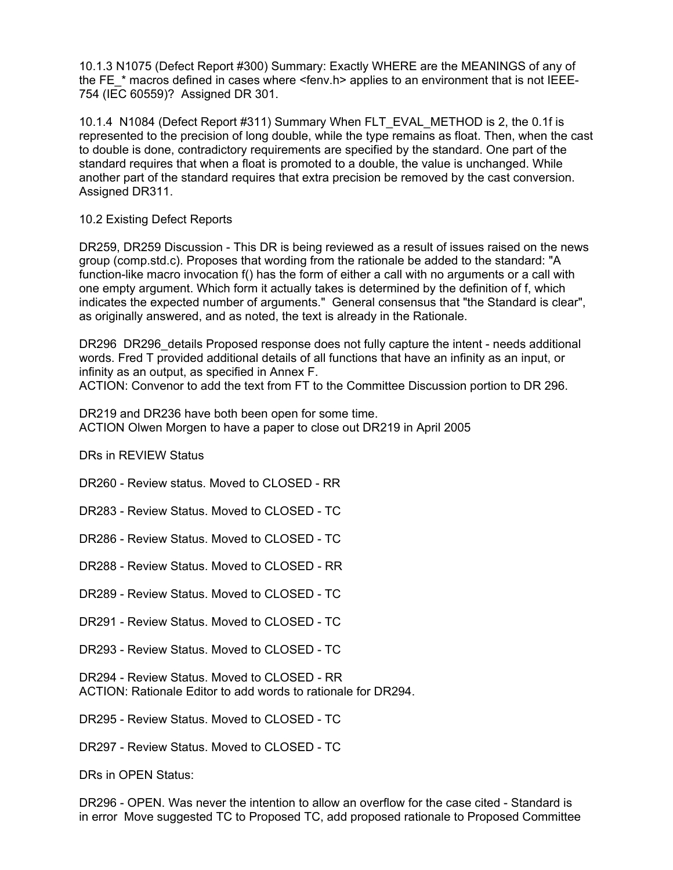10.1.3 N1075 (Defect Report #300) Summary: Exactly WHERE are the MEANINGS of any of the FE  $*$  macros defined in cases where  $\le$  fenv.h> applies to an environment that is not IEEE-754 (IEC 60559)? Assigned DR 301.

10.1.4 N1084 (Defect Report #311) Summary When FLT\_EVAL\_METHOD is 2, the 0.1f is represented to the precision of long double, while the type remains as float. Then, when the cast to double is done, contradictory requirements are specified by the standard. One part of the standard requires that when a float is promoted to a double, the value is unchanged. While another part of the standard requires that extra precision be removed by the cast conversion. Assigned DR311.

# 10.2 Existing Defect Reports

DR259, DR259 Discussion - This DR is being reviewed as a result of issues raised on the news group (comp.std.c). Proposes that wording from the rationale be added to the standard: "A function-like macro invocation f() has the form of either a call with no arguments or a call with one empty argument. Which form it actually takes is determined by the definition of f, which indicates the expected number of arguments." General consensus that "the Standard is clear", as originally answered, and as noted, the text is already in the Rationale.

DR296 DR296 details Proposed response does not fully capture the intent - needs additional words. Fred T provided additional details of all functions that have an infinity as an input, or infinity as an output, as specified in Annex F.

ACTION: Convenor to add the text from FT to the Committee Discussion portion to DR 296.

DR219 and DR236 have both been open for some time. ACTION Olwen Morgen to have a paper to close out DR219 in April 2005

DRs in REVIEW Status

DR260 - Review status. Moved to CLOSED - RR

DR283 - Review Status. Moved to CLOSED - TC

DR286 - Review Status. Moved to CLOSED - TC

DR288 - Review Status. Moved to CLOSED - RR

DR289 - Review Status. Moved to CLOSED - TC

DR291 - Review Status. Moved to CLOSED - TC

DR293 - Review Status. Moved to CLOSED - TC

DR294 - Review Status. Moved to CLOSED - RR ACTION: Rationale Editor to add words to rationale for DR294.

DR295 - Review Status. Moved to CLOSED - TC

DR297 - Review Status. Moved to CLOSED - TC

DRs in OPEN Status:

DR296 - OPEN. Was never the intention to allow an overflow for the case cited - Standard is in error Move suggested TC to Proposed TC, add proposed rationale to Proposed Committee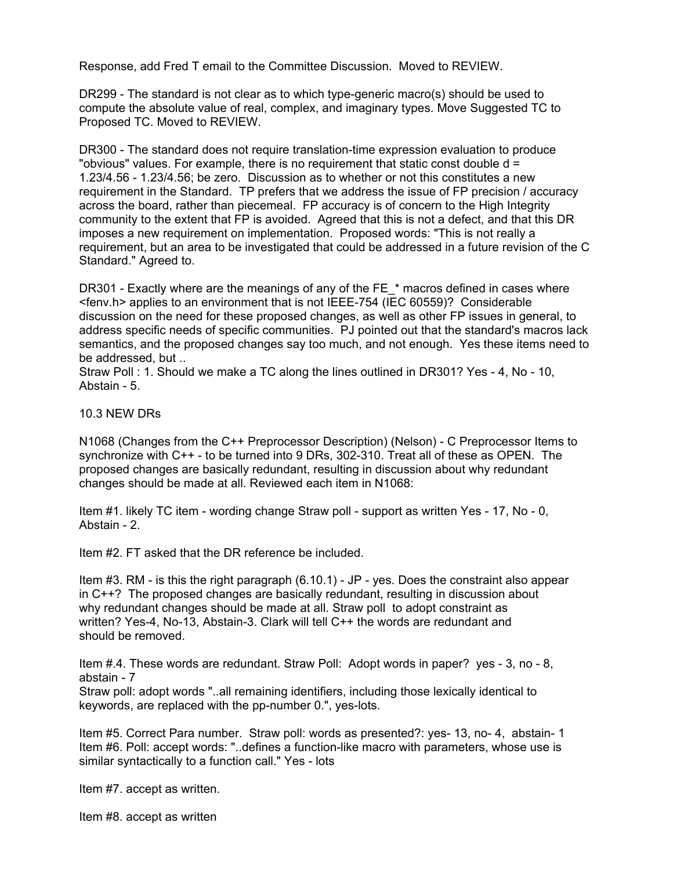Response, add Fred T email to the Committee Discussion. Moved to REVIEW.

DR299 - The standard is not clear as to which type-generic macro(s) should be used to compute the absolute value of real, complex, and imaginary types. Move Suggested TC to Proposed TC. Moved to REVIEW.

DR300 - The standard does not require translation-time expression evaluation to produce "obvious" values. For example, there is no requirement that static const double d = 1.23/4.56 - 1.23/4.56; be zero. Discussion as to whether or not this constitutes a new requirement in the Standard. TP prefers that we address the issue of FP precision / accuracy across the board, rather than piecemeal. FP accuracy is of concern to the High Integrity community to the extent that FP is avoided. Agreed that this is not a defect, and that this DR imposes a new requirement on implementation. Proposed words: "This is not really a requirement, but an area to be investigated that could be addressed in a future revision of the C Standard." Agreed to.

DR301 - Exactly where are the meanings of any of the FE \* macros defined in cases where <fenv.h> applies to an environment that is not IEEE-754 (IEC 60559)? Considerable discussion on the need for these proposed changes, as well as other FP issues in general, to address specific needs of specific communities. PJ pointed out that the standard's macros lack semantics, and the proposed changes say too much, and not enough. Yes these items need to be addressed, but ..

Straw Poll : 1. Should we make a TC along the lines outlined in DR301? Yes - 4, No - 10, Abstain - 5.

### 10.3 NEW DRs

N1068 (Changes from the C++ Preprocessor Description) (Nelson) - C Preprocessor Items to synchronize with C++ - to be turned into 9 DRs, 302-310. Treat all of these as OPEN. The proposed changes are basically redundant, resulting in discussion about why redundant changes should be made at all. Reviewed each item in N1068:

Item #1. likely TC item - wording change Straw poll - support as written Yes - 17, No - 0, Abstain - 2.

Item #2. FT asked that the DR reference be included.

Item #3. RM - is this the right paragraph (6.10.1) - JP - yes. Does the constraint also appear in C++? The proposed changes are basically redundant, resulting in discussion about why redundant changes should be made at all. Straw poll to adopt constraint as written? Yes-4, No-13, Abstain-3. Clark will tell C++ the words are redundant and should be removed.

Item #.4. These words are redundant. Straw Poll: Adopt words in paper? yes - 3, no - 8, abstain - 7

Straw poll: adopt words "..all remaining identifiers, including those lexically identical to keywords, are replaced with the pp-number 0.", yes-lots.

Item #5. Correct Para number. Straw poll: words as presented?: yes- 13, no- 4, abstain- 1 Item #6. Poll: accept words: "..defines a function-like macro with parameters, whose use is similar syntactically to a function call." Yes - lots

Item #7. accept as written.

Item #8. accept as written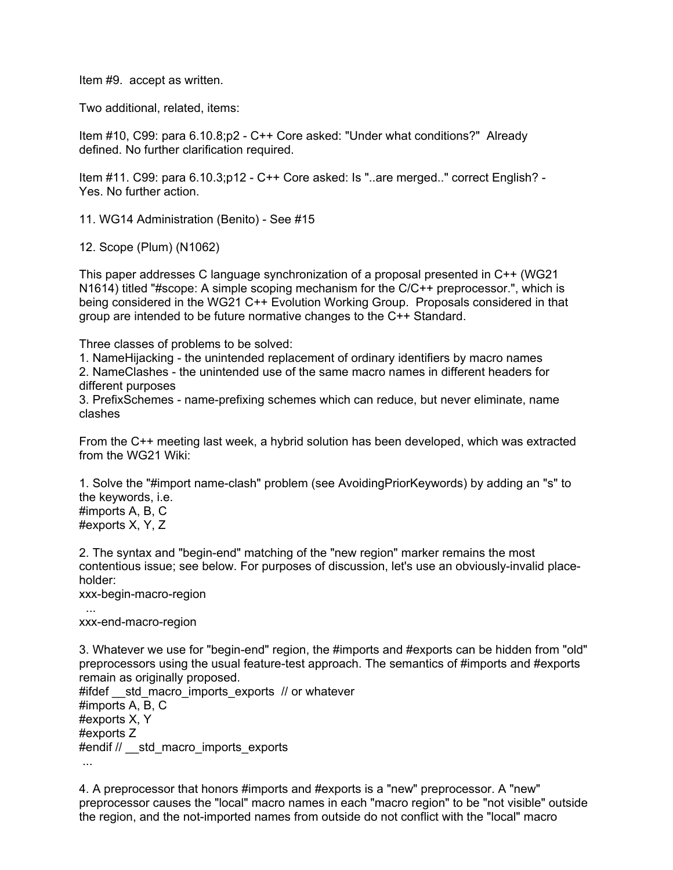Item #9. accept as written.

Two additional, related, items:

Item #10, C99: para 6.10.8;p2 - C++ Core asked: "Under what conditions?" Already defined. No further clarification required.

Item #11. C99: para 6.10.3;p12 - C++ Core asked: Is "..are merged.." correct English? - Yes. No further action.

11. WG14 Administration (Benito) - See #15

12. Scope (Plum) (N1062)

This paper addresses C language synchronization of a proposal presented in C++ (WG21 N1614) titled "#scope: A simple scoping mechanism for the C/C++ preprocessor.", which is being considered in the WG21 C++ Evolution Working Group. Proposals considered in that group are intended to be future normative changes to the C++ Standard.

Three classes of problems to be solved:

1. NameHijacking - the unintended replacement of ordinary identifiers by macro names 2. NameClashes - the unintended use of the same macro names in different headers for different purposes

3. PrefixSchemes - name-prefixing schemes which can reduce, but never eliminate, name clashes

From the C++ meeting last week, a hybrid solution has been developed, which was extracted from the WG21 Wiki:

1. Solve the "#import name-clash" problem (see AvoidingPriorKeywords) by adding an "s" to the keywords, i.e. #imports A, B, C #exports X, Y, Z

2. The syntax and "begin-end" matching of the "new region" marker remains the most contentious issue; see below. For purposes of discussion, let's use an obviously-invalid placeholder:

xxx-begin-macro-region

 ... xxx-end-macro-region

3. Whatever we use for "begin-end" region, the #imports and #exports can be hidden from "old" preprocessors using the usual feature-test approach. The semantics of #imports and #exports remain as originally proposed.

#ifdef std macro imports exports // or whatever #imports A, B, C #exports X, Y #exports Z #endif // std\_macro\_imports\_exports ...

4. A preprocessor that honors #imports and #exports is a "new" preprocessor. A "new" preprocessor causes the "local" macro names in each "macro region" to be "not visible" outside the region, and the not-imported names from outside do not conflict with the "local" macro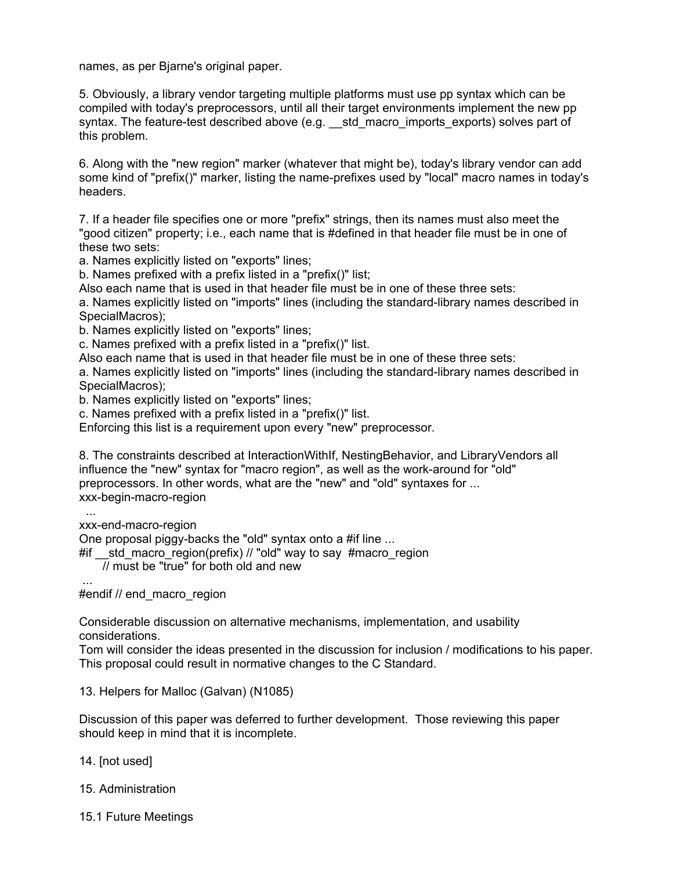names, as per Bjarne's original paper.

5. Obviously, a library vendor targeting multiple platforms must use pp syntax which can be compiled with today's preprocessors, until all their target environments implement the new pp syntax. The feature-test described above (e.g. \_\_std\_macro\_imports\_exports) solves part of this problem.

6. Along with the "new region" marker (whatever that might be), today's library vendor can add some kind of "prefix()" marker, listing the name-prefixes used by "local" macro names in today's headers.

7. If a header file specifies one or more "prefix" strings, then its names must also meet the "good citizen" property; i.e., each name that is #defined in that header file must be in one of these two sets:

a. Names explicitly listed on "exports" lines;

b. Names prefixed with a prefix listed in a "prefix()" list;

Also each name that is used in that header file must be in one of these three sets:

a. Names explicitly listed on "imports" lines (including the standard-library names described in SpecialMacros);

b. Names explicitly listed on "exports" lines;

c. Names prefixed with a prefix listed in a "prefix()" list.

Also each name that is used in that header file must be in one of these three sets:

a. Names explicitly listed on "imports" lines (including the standard-library names described in SpecialMacros);

b. Names explicitly listed on "exports" lines;

c. Names prefixed with a prefix listed in a "prefix()" list.

Enforcing this list is a requirement upon every "new" preprocessor.

8. The constraints described at InteractionWithIf, NestingBehavior, and LibraryVendors all influence the "new" syntax for "macro region", as well as the work-around for "old" preprocessors. In other words, what are the "new" and "old" syntaxes for ... xxx-begin-macro-region

...

xxx-end-macro-region

One proposal piggy-backs the "old" syntax onto a #if line ...

#if std macro region(prefix) // "old" way to say #macro region

// must be "true" for both old and new

...

#endif // end\_macro\_region

Considerable discussion on alternative mechanisms, implementation, and usability considerations.

Tom will consider the ideas presented in the discussion for inclusion / modifications to his paper. This proposal could result in normative changes to the C Standard.

13. Helpers for Malloc (Galvan) (N1085)

Discussion of this paper was deferred to further development. Those reviewing this paper should keep in mind that it is incomplete.

14. [not used]

- 15. Administration
- 15.1 Future Meetings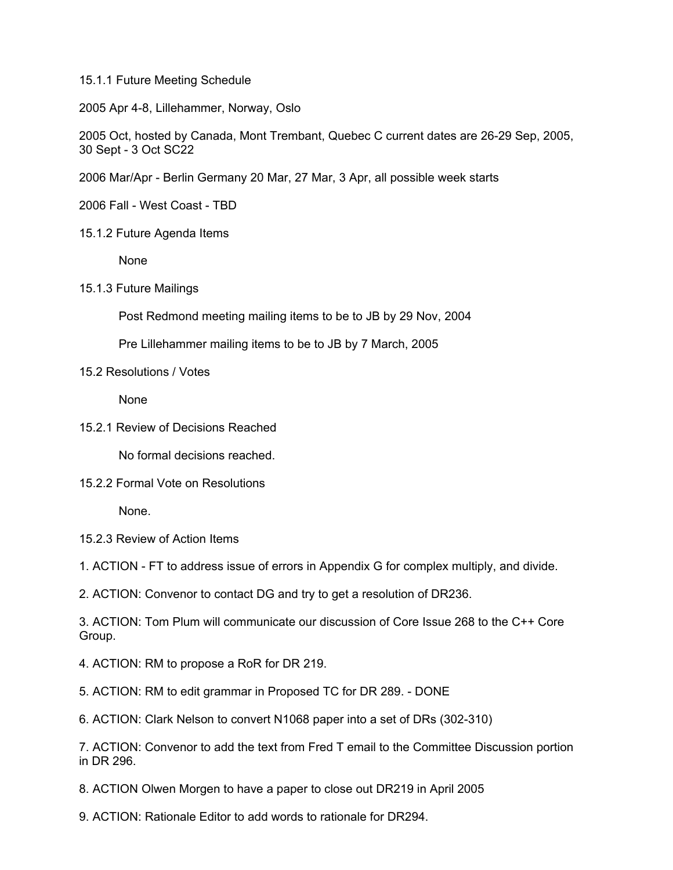15.1.1 Future Meeting Schedule

2005 Apr 4-8, Lillehammer, Norway, Oslo

2005 Oct, hosted by Canada, Mont Trembant, Quebec C current dates are 26-29 Sep, 2005, 30 Sept - 3 Oct SC22

2006 Mar/Apr - Berlin Germany 20 Mar, 27 Mar, 3 Apr, all possible week starts

2006 Fall - West Coast - TBD

15.1.2 Future Agenda Items

None

15.1.3 Future Mailings

Post Redmond meeting mailing items to be to JB by 29 Nov, 2004

Pre Lillehammer mailing items to be to JB by 7 March, 2005

# 15.2 Resolutions / Votes

None

15.2.1 Review of Decisions Reached

No formal decisions reached.

15.2.2 Formal Vote on Resolutions

None.

15.2.3 Review of Action Items

1. ACTION - FT to address issue of errors in Appendix G for complex multiply, and divide.

2. ACTION: Convenor to contact DG and try to get a resolution of DR236.

3. ACTION: Tom Plum will communicate our discussion of Core Issue 268 to the C++ Core Group.

- 4. ACTION: RM to propose a RoR for DR 219.
- 5. ACTION: RM to edit grammar in Proposed TC for DR 289. DONE
- 6. ACTION: Clark Nelson to convert N1068 paper into a set of DRs (302-310)

7. ACTION: Convenor to add the text from Fred T email to the Committee Discussion portion in DR 296.

8. ACTION Olwen Morgen to have a paper to close out DR219 in April 2005

9. ACTION: Rationale Editor to add words to rationale for DR294.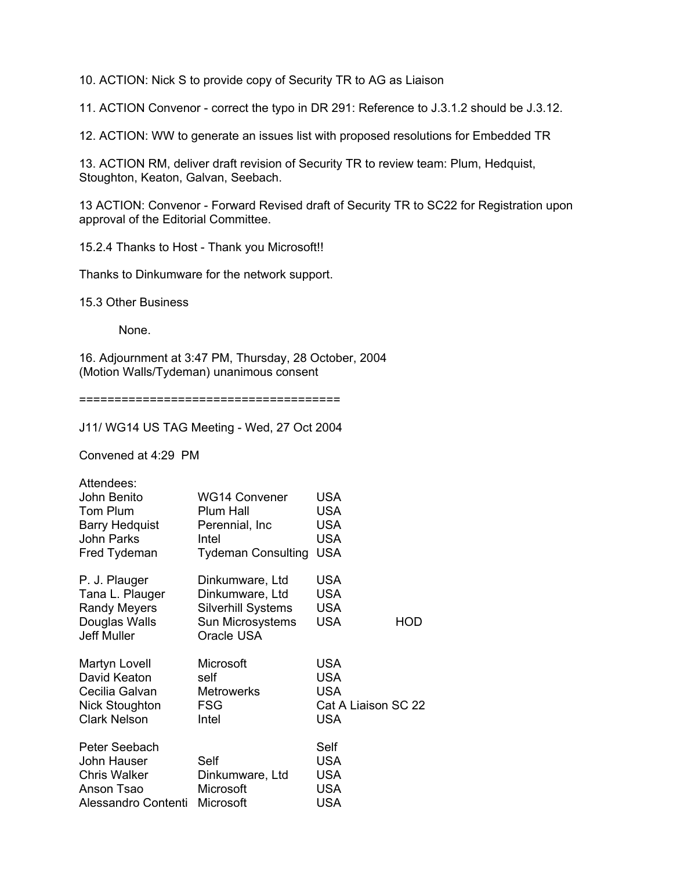10. ACTION: Nick S to provide copy of Security TR to AG as Liaison

11. ACTION Convenor - correct the typo in DR 291: Reference to J.3.1.2 should be J.3.12.

12. ACTION: WW to generate an issues list with proposed resolutions for Embedded TR

13. ACTION RM, deliver draft revision of Security TR to review team: Plum, Hedquist, Stoughton, Keaton, Galvan, Seebach.

13 ACTION: Convenor - Forward Revised draft of Security TR to SC22 for Registration upon approval of the Editorial Committee.

15.2.4 Thanks to Host - Thank you Microsoft!!

Thanks to Dinkumware for the network support.

15.3 Other Business

None.

16. Adjournment at 3:47 PM, Thursday, 28 October, 2004 (Motion Walls/Tydeman) unanimous consent

=====================================

J11/ WG14 US TAG Meeting - Wed, 27 Oct 2004

Convened at 4:29 PM

| Attendees:            |                           |                     |
|-----------------------|---------------------------|---------------------|
| John Benito           | WG14 Convener             | <b>USA</b>          |
| Tom Plum              | Plum Hall                 | <b>USA</b>          |
| <b>Barry Hedquist</b> | Perennial, Inc.           | <b>USA</b>          |
| John Parks            | Intel                     | <b>USA</b>          |
| Fred Tydeman          | <b>Tydeman Consulting</b> | <b>USA</b>          |
| P. J. Plauger         | Dinkumware, Ltd           | <b>USA</b>          |
| Tana L. Plauger       | Dinkumware, Ltd           | <b>USA</b>          |
| <b>Randy Meyers</b>   | <b>Silverhill Systems</b> | <b>USA</b>          |
| Douglas Walls         | Sun Microsystems          | <b>USA</b><br>HOD   |
| <b>Jeff Muller</b>    | Oracle USA                |                     |
| Martyn Lovell         | Microsoft                 | <b>USA</b>          |
| David Keaton          | self                      | <b>USA</b>          |
| Cecilia Galvan        | <b>Metrowerks</b>         | <b>USA</b>          |
| Nick Stoughton        | <b>FSG</b>                | Cat A Liaison SC 22 |
| <b>Clark Nelson</b>   | Intel                     | <b>USA</b>          |
| Peter Seebach         |                           | Self                |
| John Hauser           | Self                      | <b>USA</b>          |
| <b>Chris Walker</b>   | Dinkumware, Ltd           | <b>USA</b>          |
| Anson Tsao            | Microsoft                 | <b>USA</b>          |
| Alessandro Contenti   | Microsoft                 | <b>USA</b>          |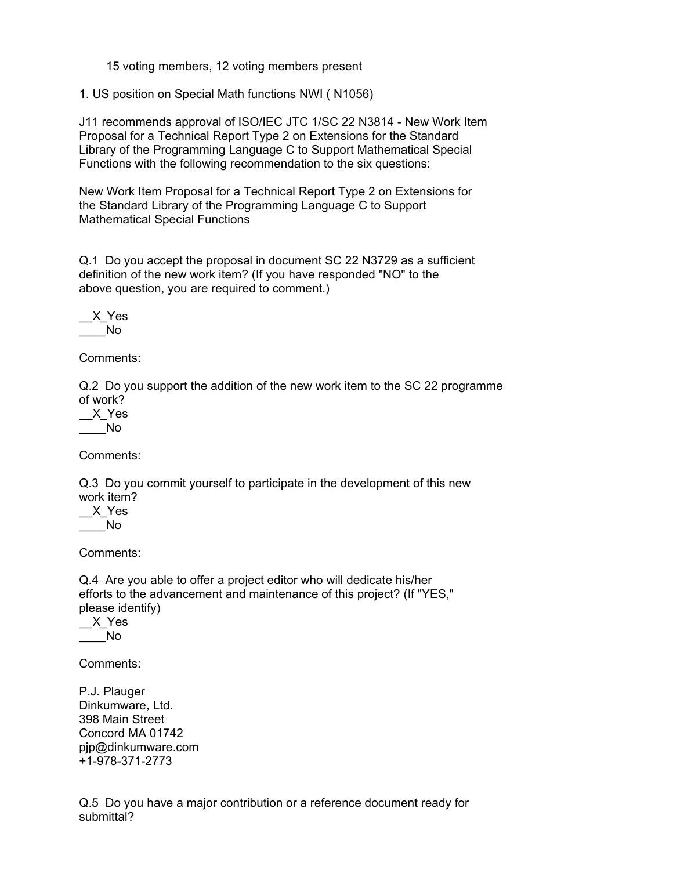15 voting members, 12 voting members present

1. US position on Special Math functions NWI ( N1056)

J11 recommends approval of ISO/IEC JTC 1/SC 22 N3814 - New Work Item Proposal for a Technical Report Type 2 on Extensions for the Standard Library of the Programming Language C to Support Mathematical Special Functions with the following recommendation to the six questions:

New Work Item Proposal for a Technical Report Type 2 on Extensions for the Standard Library of the Programming Language C to Support Mathematical Special Functions

Q.1 Do you accept the proposal in document SC 22 N3729 as a sufficient definition of the new work item? (If you have responded "NO" to the above question, you are required to comment.)

$$
\underbrace{\text{--}X\_Yes}_{No}
$$

Comments:

Q.2 Do you support the addition of the new work item to the SC 22 programme of work?

\_\_X\_Yes  $\blacksquare$  No

Comments:

Q.3 Do you commit yourself to participate in the development of this new work item?

\_\_X\_Yes  $\overline{\phantom{0}}$  No

Comments:

Q.4 Are you able to offer a project editor who will dedicate his/her efforts to the advancement and maintenance of this project? (If "YES," please identify)

 $X_Y$ es  $\blacksquare$ 

Comments:

P.J. Plauger Dinkumware, Ltd. 398 Main Street Concord MA 01742 pjp@dinkumware.com +1-978-371-2773

Q.5 Do you have a major contribution or a reference document ready for submittal?